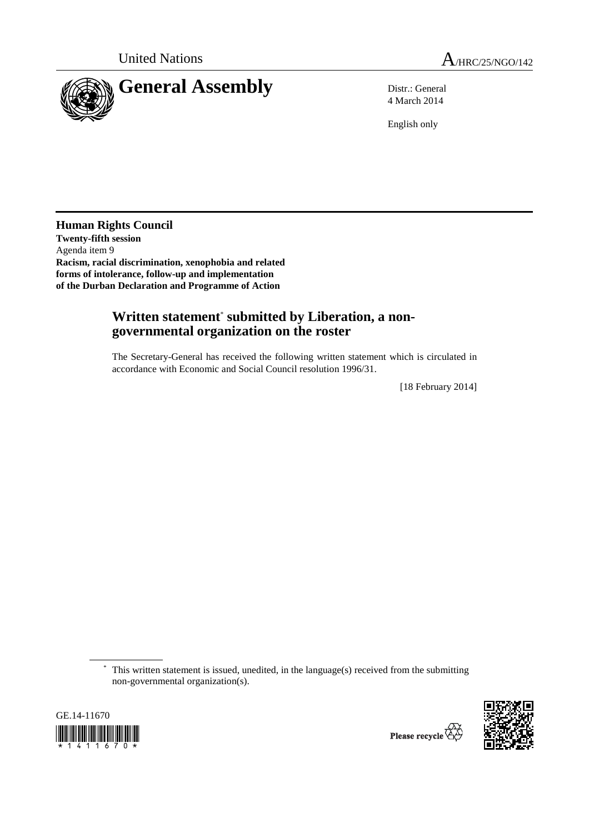

4 March 2014

English only

**Human Rights Council Twenty-fifth session**  Agenda item 9 **Racism, racial discrimination, xenophobia and related forms of intolerance, follow-up and implementation of the Durban Declaration and Programme of Action** 

## **Written statement**\*  **submitted by Liberation, a nongovernmental organization on the roster**

The Secretary-General has received the following written statement which is circulated in accordance with Economic and Social Council resolution 1996/31.

[18 February 2014]

 \* This written statement is issued, unedited, in the language(s) received from the submitting non-governmental organization(s).